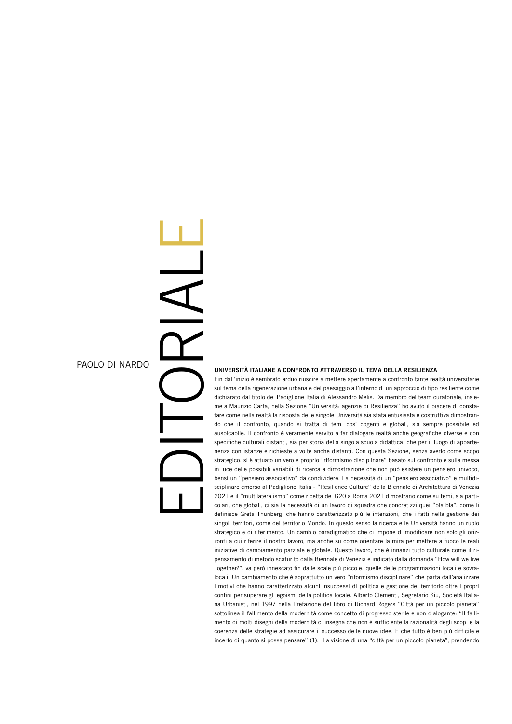## PAOLO DI NARDO

## EDITORIAL

E

## UNIVERSITÀ ITALIANE A CONFRONTO ATTRAVERSO IL TEMA DELLA RESILIENZA

Fin dall'inizio è sembrato arduo riuscire a mettere apertamente a confronto tante realtà universitarie sul tema della rigenerazione urbana e del paesaggio all'interno di un approccio di tipo resiliente come dichiarato dal titolo del Padiglione Italia di Alessandro Melis. Da membro del team curatoriale, insieme a Maurizio Carta, nella Sezione "Università: agenzie di Resilienza" ho avuto il piacere di constatare come nella realtà la risposta delle singole Università sia stata entusiasta e costruttiva dimostrando che il confronto, quando si tratta di temi così cogenti e globali, sia sempre possibile ed auspicabile. Il confronto è veramente servito a far dialogare realtà anche geografiche diverse e con specifiche culturali distanti, sia per storia della singola scuola didattica, che per il luogo di appartenenza con istanze e richieste a volte anche distanti. Con questa Sezione, senza averlo come scopo strategico, si è attuato un vero e proprio "riformismo disciplinare" basato sul confronto e sulla messa in luce delle possibili variabili di ricerca a dimostrazione che non può esistere un pensiero univoco, bensì un "pensiero associativo" da condividere. La necessità di un "pensiero associativo" e multidisciplinare emerso al Padiglione Italia - "Resilience Culture" della Biennale di Architettura di Venezia 2021 e il "multilateralismo" come ricetta del G20 a Roma 2021 dimostrano come su temi, sia particolari, che globali, ci sia la necessità di un lavoro di squadra che concretizzi quei "bla bla", come li definisce Greta Thunberg, che hanno caratterizzato più le intenzioni, che i fatti nella gestione dei singoli territori, come del territorio Mondo. In questo senso la ricerca e le Università hanno un ruolo strategico e di riferimento. Un cambio paradigmatico che ci impone di modificare non solo gli orizzonti a cui riferire il nostro lavoro, ma anche su come orientare la mira per mettere a fuoco le reali iniziative di cambiamento parziale e globale. Questo lavoro, che è innanzi tutto culturale come il ripensamento di metodo scaturito dalla Biennale di Venezia e indicato dalla domanda "How will we live Together?", va però innescato fin dalle scale più piccole, quelle delle programmazioni locali e sovralocali. Un cambiamento che è soprattutto un vero "riformismo disciplinare" che parta dall'analizzare i motivi che hanno caratterizzato alcuni insuccessi di politica e gestione del territorio oltre i propri confini per superare gli egoismi della politica locale. Alberto Clementi, Segretario Siu, Società Italiana Urbanisti, nel 1997 nella Prefazione del libro di Richard Rogers "Città per un piccolo pianeta" sottolinea il fallimento della modernità come concetto di progresso sterile e non dialogante: "Il fallimento di molti disegni della modernità ci insegna che non è sufficiente la razionalità degli scopi e la coerenza delle strategie ad assicurare il successo delle nuove idee. E che tutto è ben più difficile e incerto di quanto si possa pensare" (1). La visione di una "città per un piccolo pianeta", prendendo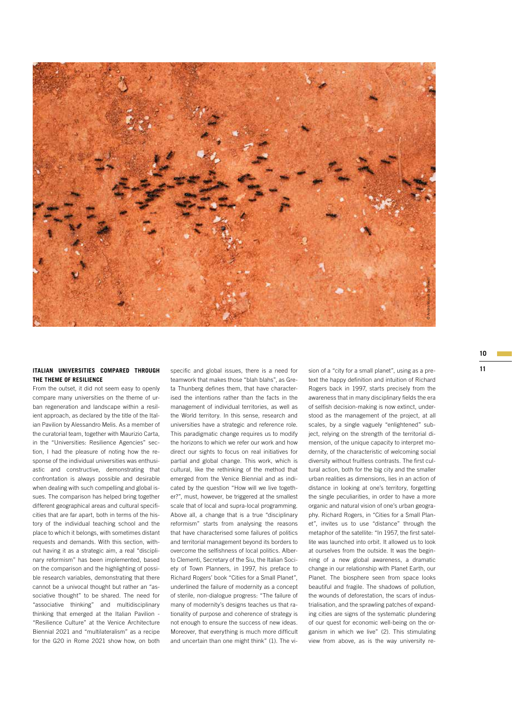

## ITALIAN UNIVERSITIES COMPARED THROUGH specific and global issues, there is a need for sion of a "city for a small planet", using as a pre-<br><sup>11</sup> **THE THEME OF RESILIENCE**

From the outset, it did not seem easy to openly compare many universities on the theme of urban regeneration and landscape within a resilient approach, as declared by the title of the Italian Pavilion by Alessandro Melis. As a member of the curatorial team, together with Maurizio Carta, in the "Universities: Resilience Agencies" section, I had the pleasure of noting how the response of the individual universities was enthusiastic and constructive, demonstrating that confrontation is always possible and desirable when dealing with such compelling and global issues. The comparison has helped bring together different geographical areas and cultural specificities that are far apart, both in terms of the history of the individual teaching school and the place to which it belongs, with sometimes distant requests and demands. With this section, without having it as a strategic aim, a real "disciplinary reformism" has been implemented, based on the comparison and the highlighting of possible research variables, demonstrating that there cannot be a univocal thought but rather an "associative thought" to be shared. The need for "associative thinking" and multidisciplinary thinking that emerged at the Italian Pavilion - "Resilience Culture" at the Venice Architecture Biennial 2021 and "multilateralism" as a recipe for the G20 in Rome 2021 show how, on both

specific and global issues, there is a need for teamwork that makes those "blah blahs", as Greta Thunberg defines them, that have characterised the intentions rather than the facts in the management of individual territories, as well as the World territory. In this sense, research and universities have a strategic and reference role. This paradigmatic change requires us to modify the horizons to which we refer our work and how direct our sights to focus on real initiatives for partial and global change. This work, which is cultural, like the rethinking of the method that emerged from the Venice Biennial and as indicated by the question "How will we live together?", must, however, be triggered at the smallest scale that of local and supra-local programming. Above all, a change that is a true "disciplinary reformism" starts from analysing the reasons that have characterised some failures of politics and territorial management beyond its borders to overcome the selfishness of local politics. Alberto Clementi, Secretary of the Siu, the Italian Society of Town Planners, in 1997, his preface to Richard Rogers' book "Cities for a Small Planet", underlined the failure of modernity as a concept of sterile, non-dialogue progress: "The failure of many of modernity's designs teaches us that rationality of purpose and coherence of strategy is not enough to ensure the success of new ideas. Moreover, that everything is much more difficult and uncertain than one might think" (1). The vitext the happy definition and intuition of Richard Rogers back in 1997, starts precisely from the awareness that in many disciplinary fields the era of selfish decision-making is now extinct, understood as the management of the project, at all scales, by a single vaguely "enlightened" subject, relying on the strength of the territorial dimension, of the unique capacity to interpret modernity, of the characteristic of welcoming social diversity without fruitless contrasts. The first cultural action, both for the big city and the smaller urban realities as dimensions, lies in an action of distance in looking at one's territory, forgetting the single peculiarities, in order to have a more organic and natural vision of one's urban geography. Richard Rogers, in "Cities for a Small Planet", invites us to use "distance" through the metaphor of the satellite: "In 1957, the first satellite was launched into orbit. It allowed us to look at ourselves from the outside. It was the beginning of a new global awareness, a dramatic change in our relationship with Planet Earth, our Planet. The biosphere seen from space looks beautiful and fragile. The shadows of pollution, the wounds of deforestation, the scars of industrialisation, and the sprawling patches of expanding cities are signs of the systematic plundering of our quest for economic well-being on the organism in which we live" (2). This stimulating view for the "state of "the way above" of the state of the way in the wave from the waveness that in many disciplinary fields the erarcologies back in 1997, starts precisely from the awareness that in many disciplinary fie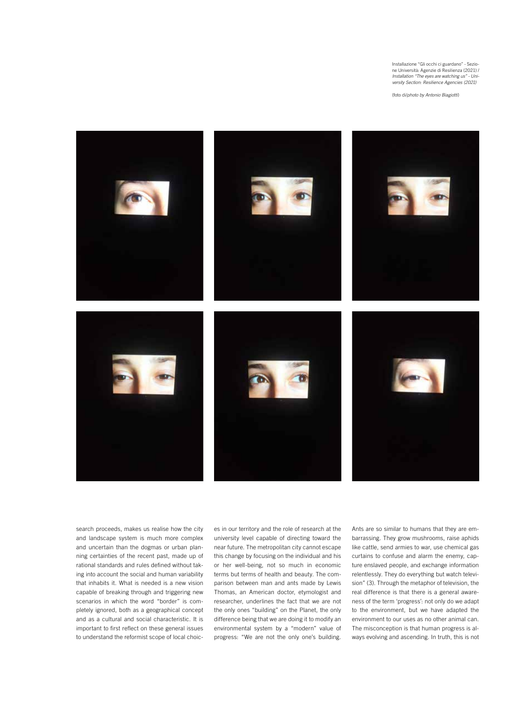Installazione "Gli occhi ci guardano" - Sezione Università: Agenzie di Resilienza (2021) / *Installation "The eyes are watching us" - University Section: Resilience Agencies (2021)*

(foto di/*photo by Antonio Biagiotti*)



search proceeds, makes us realise how the city and landscape system is much more complex and uncertain than the dogmas or urban planning certainties of the recent past, made up of rational standards and rules defined without taking into account the social and human variability that inhabits it. What is needed is a new vision capable of breaking through and triggering new scenarios in which the word "border" is completely ignored, both as a geographical concept and as a cultural and social characteristic. It is important to first reflect on these general issues to understand the reformist scope of local choices in our territory and the role of research at the university level capable of directing toward the near future. The metropolitan city cannot escape this change by focusing on the individual and his or her well-being, not so much in economic terms but terms of health and beauty. The comparison between man and ants made by Lewis Thomas, an American doctor, etymologist and researcher, underlines the fact that we are not the only ones "building" on the Planet, the only difference being that we are doing it to modify an environmental system by a "modern" value of progress: "We are not the only one's building.

Ants are so similar to humans that they are embarrassing. They grow mushrooms, raise aphids like cattle, send armies to war, use chemical gas curtains to confuse and alarm the enemy, capture enslaved people, and exchange information relentlessly. They do everything but watch television" (3). Through the metaphor of television, the real difference is that there is a general awareness of the term 'progress': not only do we adapt to the environment, but we have adapted the environment to our uses as no other animal can. The misconception is that human progress is always evolving and ascending. In truth, this is not